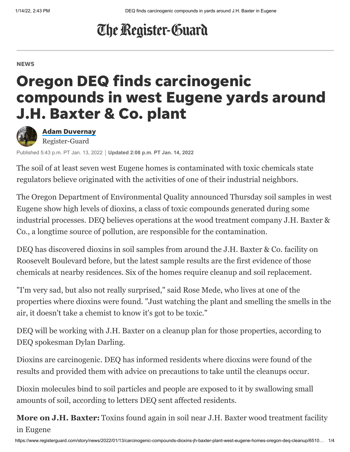## The Register-Guard

#### **NEWS**

# Oregon DEQ finds carcinogenic compounds in west Eugene yards around J.H. Baxter & Co. plant



Adam [Duvernay](https://www.registerguard.com/staff/3392076001/adam-duvernay/) Register-Guard

Published 5:43 p.m. PT Jan. 13, 2022 **Updated 2:08 p.m. PT Jan. 14, 2022**

The soil of at least seven west Eugene homes is contaminated with toxic chemicals state regulators believe originated with the activities of one of their industrial neighbors.

The Oregon Department of Environmental Quality announced Thursday soil samples in west Eugene show high levels of dioxins, a class of toxic compounds generated during some industrial processes. DEQ believes operations at the wood treatment company J.H. Baxter & Co., [a longtime source of](https://www.registerguard.com/story/news/2020/12/05/deq-again-investigating-toxins-contamination-soil-near-j-h-baxter-eugene/3840266001/) pollution, are responsible for the contamination.

DEQ has discovered dioxins in soil samples from around the J.H. Baxter & Co. facility on Roosevelt Boulevard before, but the latest sample results are the first evidence of those chemicals at nearby residences. Six of the homes require cleanup and soil replacement.

"I'm very sad, but also not really surprised," said Rose Mede, who lives at one of the properties where dioxins were found. "Just watching the plant and smelling the smells in the air, it doesn't take a chemist to know it's got to be toxic."

DEQ will be working with J.H. Baxter on a cleanup plan for those properties, according to DEQ spokesman Dylan Darling.

Dioxins are carcinogenic. DEQ has informed residents where dioxins were found of the results and provided them with advice on precautions to take until the cleanups occur.

Dioxin molecules bind to soil particles and people are exposed to it by swallowing small amounts of soil, according to letters DEQ sent affected residents.

**More on J.H. Baxter:** [Toxins found again in soil near J.H. Baxter wood treatment facility](https://www.registerguard.com/story/news/2020/12/05/deq-again-investigating-toxins-contamination-soil-near-j-h-baxter-eugene/3840266001/) in Eugene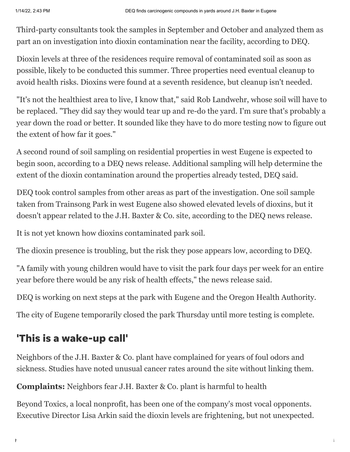Third-party consultants took the samples in September and October and analyzed them as part an on investigation into dioxin contamination near the facility, according to DEQ.

Dioxin levels at three of the residences require removal of contaminated soil as soon as possible, likely to be conducted this summer. Three properties need eventual cleanup to avoid health risks. Dioxins were found at a seventh residence, but cleanup isn't needed.

"It's not the healthiest area to live, I know that," said Rob Landwehr, whose soil will have to be replaced. "They did say they would tear up and re-do the yard. I'm sure that's probably a year down the road or better. It sounded like they have to do more testing now to figure out the extent of how far it goes."

A second round of soil sampling on residential properties in west Eugene is expected to begin soon, according to a DEQ news release. Additional sampling will help determine the extent of the dioxin contamination around the properties already tested, DEQ said.

DEQ took control samples from other areas as part of the investigation. One soil sample taken from Trainsong Park in west Eugene also showed elevated levels of dioxins, but it doesn't appear related to the J.H. Baxter & Co. site, according to the DEQ news release.

It is not yet known how dioxins contaminated park soil.

The dioxin presence is troubling, but the risk they pose appears low, according to DEQ.

"A family with young children would have to visit the park four days per week for an entire year before there would be any risk of health effects," the news release said.

DEQ is working on next steps at the park with Eugene and the Oregon Health Authority.

The city of Eugene temporarily closed the park Thursday until more testing is complete.

#### 'This is a wake-up call'

Neighbors of the J.H. Baxter & Co. plant have complained for years of foul odors and sickness. Studies have noted [unusual cancer rates](https://www.oregon.gov/oha/PH/HEALTHYENVIRONMENTS/TRACKINGASSESSMENT/ENVIRONMENTALHEALTHASSESSMENT/Pages/nweugenesite.aspx) around the site without linking them.

**Complaints:** [Neighbors fear J.H. Baxter & Co. plant is harmful to health](https://www.registerguard.com/story/news/2021/05/14/neighbors-fear-j-h-baxter-plant-is-harmful-to-health/4946571001/)

Beyond Toxics, a local nonprofit, has been one of the company's most vocal opponents. Executive Director Lisa Arkin said the dioxin levels are frightening, but not unexpected.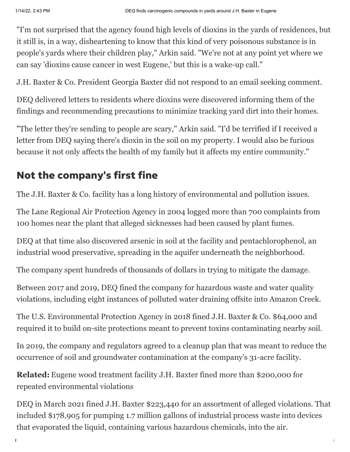"I'm not surprised that the agency found high levels of dioxins in the yards of residences, but it still is, in a way, disheartening to know that this kind of very poisonous substance is in people's yards where their children play," Arkin said. "We're not at any point yet where we can say 'dioxins cause cancer in west Eugene,' but this is a wake-up call."

J.H. Baxter & Co. President Georgia Baxter did not respond to an email seeking comment.

DEQ delivered letters to residents where dioxins were discovered informing them of the findings and recommending precautions to minimize tracking yard dirt into their homes.

"The letter they're sending to people are scary," Arkin said. "I'd be terrified if I received a letter from DEQ saying there's dioxin in the soil on my property. I would also be furious because it not only affects the health of my family but it affects my entire community."

### Not the company's first fine

The J.H. Baxter & Co. facility has a long history of environmental and pollution issues.

The Lane Regional Air Protection Agency in 2004 logged more than 700 complaints from 100 homes near the plant that alleged sicknesses had been caused by plant fumes.

DEQ at that time also discovered arsenic in soil at the facility and pentachlorophenol, an industrial wood preservative, spreading in the aquifer underneath the neighborhood.

The company spent hundreds of thousands of dollars in trying to mitigate the damage.

Between 2017 and 2019, DEQ fined the company for hazardous waste and water quality violations, including eight instances of polluted water draining offsite into Amazon Creek.

The U.S. Environmental Protection Agency in 2018 fined J.H. Baxter & Co. \$64,000 and required it to build on-site protections meant to prevent toxins contaminating nearby soil.

In 2019, the company and regulators agreed to a cleanup plan that was meant to reduce the occurrence of soil and groundwater contamination at the company's 31-acre facility.

**Related:** [Eugene wood treatment facility J.H. Baxter fined more than \\$200,000 for](https://www.registerguard.com/story/news/2021/03/04/eugene-wood-treatment-facility-jh-baxter-fined-more-than-200-000-environmental-violations/6911952002/) repeated environmental violations

DEQ in March 2021 fined J.H. Baxter \$223,440 for an assortment of alleged violations. That included \$178,905 for pumping 1.7 million gallons of industrial process waste into devices that evaporated the liquid, containing various hazardous chemicals, into the air.

https://www.registerguard.com/story/news/2022/01/13/carcinogenic-compounds-dioxins-jh-baxter-plant-west-eugene-homes-oregon-deq-cleanup/6510… 3/4